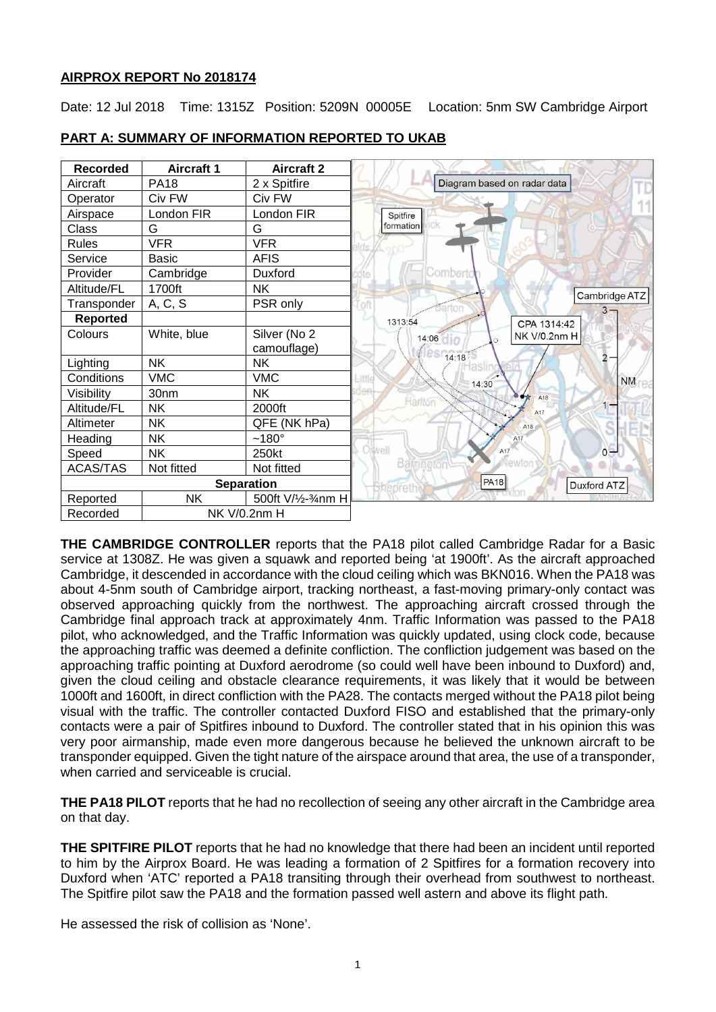# **AIRPROX REPORT No 2018174**

Date: 12 Jul 2018 Time: 1315Z Position: 5209N 00005E Location: 5nm SW Cambridge Airport



# **PART A: SUMMARY OF INFORMATION REPORTED TO UKAB**

**THE CAMBRIDGE CONTROLLER** reports that the PA18 pilot called Cambridge Radar for a Basic service at 1308Z. He was given a squawk and reported being 'at 1900ft'. As the aircraft approached Cambridge, it descended in accordance with the cloud ceiling which was BKN016. When the PA18 was about 4-5nm south of Cambridge airport, tracking northeast, a fast-moving primary-only contact was observed approaching quickly from the northwest. The approaching aircraft crossed through the Cambridge final approach track at approximately 4nm. Traffic Information was passed to the PA18 pilot, who acknowledged, and the Traffic Information was quickly updated, using clock code, because the approaching traffic was deemed a definite confliction. The confliction judgement was based on the approaching traffic pointing at Duxford aerodrome (so could well have been inbound to Duxford) and, given the cloud ceiling and obstacle clearance requirements, it was likely that it would be between 1000ft and 1600ft, in direct confliction with the PA28. The contacts merged without the PA18 pilot being visual with the traffic. The controller contacted Duxford FISO and established that the primary-only contacts were a pair of Spitfires inbound to Duxford. The controller stated that in his opinion this was very poor airmanship, made even more dangerous because he believed the unknown aircraft to be transponder equipped. Given the tight nature of the airspace around that area, the use of a transponder, when carried and serviceable is crucial.

**THE PA18 PILOT** reports that he had no recollection of seeing any other aircraft in the Cambridge area on that day.

**THE SPITFIRE PILOT** reports that he had no knowledge that there had been an incident until reported to him by the Airprox Board. He was leading a formation of 2 Spitfires for a formation recovery into Duxford when 'ATC' reported a PA18 transiting through their overhead from southwest to northeast. The Spitfire pilot saw the PA18 and the formation passed well astern and above its flight path.

He assessed the risk of collision as 'None'.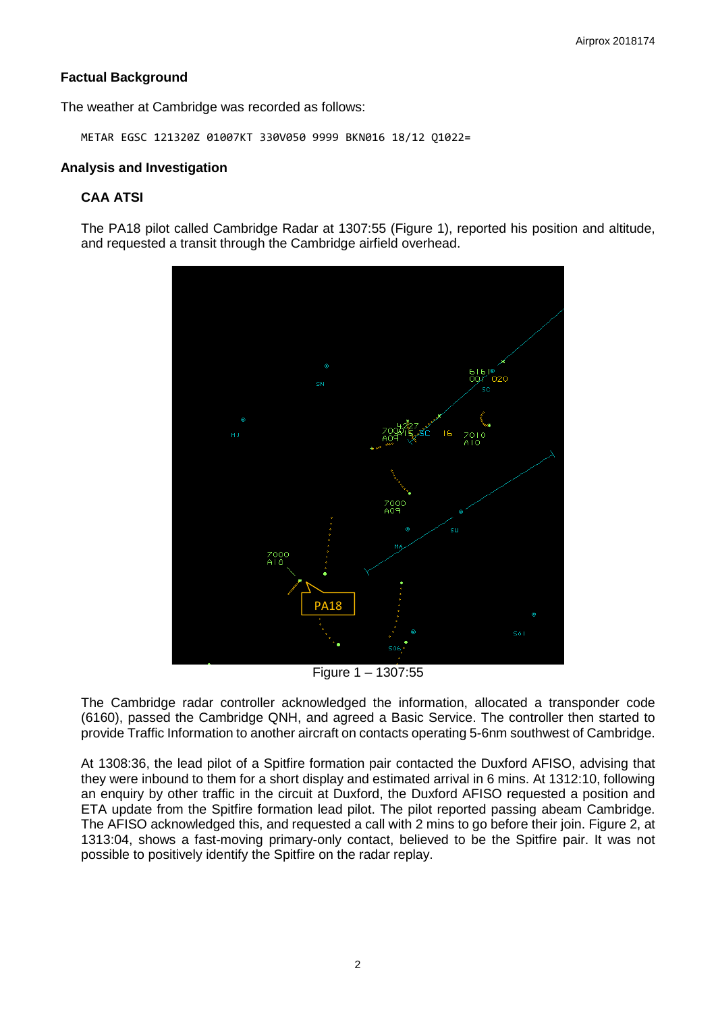# **Factual Background**

The weather at Cambridge was recorded as follows:

METAR EGSC 121320Z 01007KT 330V050 9999 BKN016 18/12 Q1022=

#### **Analysis and Investigation**

# **CAA ATSI**

The PA18 pilot called Cambridge Radar at 1307:55 (Figure 1), reported his position and altitude, and requested a transit through the Cambridge airfield overhead.



Figure 1 – 1307:55

The Cambridge radar controller acknowledged the information, allocated a transponder code (6160), passed the Cambridge QNH, and agreed a Basic Service. The controller then started to provide Traffic Information to another aircraft on contacts operating 5-6nm southwest of Cambridge.

At 1308:36, the lead pilot of a Spitfire formation pair contacted the Duxford AFISO, advising that they were inbound to them for a short display and estimated arrival in 6 mins. At 1312:10, following an enquiry by other traffic in the circuit at Duxford, the Duxford AFISO requested a position and ETA update from the Spitfire formation lead pilot. The pilot reported passing abeam Cambridge. The AFISO acknowledged this, and requested a call with 2 mins to go before their join. Figure 2, at 1313:04, shows a fast-moving primary-only contact, believed to be the Spitfire pair. It was not possible to positively identify the Spitfire on the radar replay.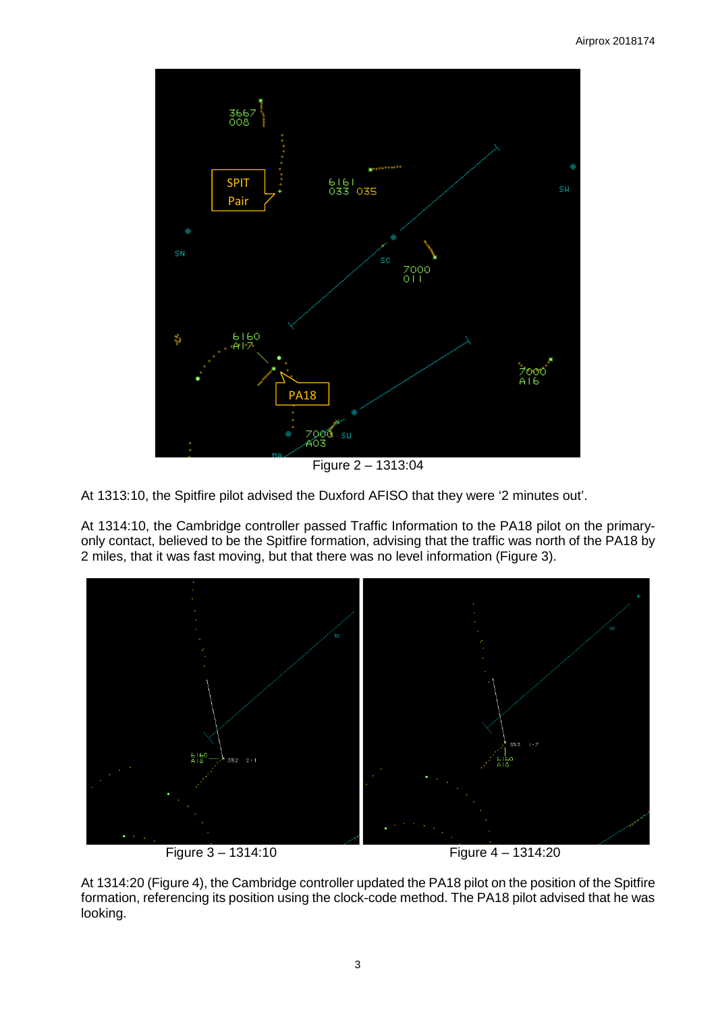

Figure 2 – 1313:04

At 1313:10, the Spitfire pilot advised the Duxford AFISO that they were '2 minutes out'.

At 1314:10, the Cambridge controller passed Traffic Information to the PA18 pilot on the primaryonly contact, believed to be the Spitfire formation, advising that the traffic was north of the PA18 by 2 miles, that it was fast moving, but that there was no level information (Figure 3).



At 1314:20 (Figure 4), the Cambridge controller updated the PA18 pilot on the position of the Spitfire formation, referencing its position using the clock-code method. The PA18 pilot advised that he was looking.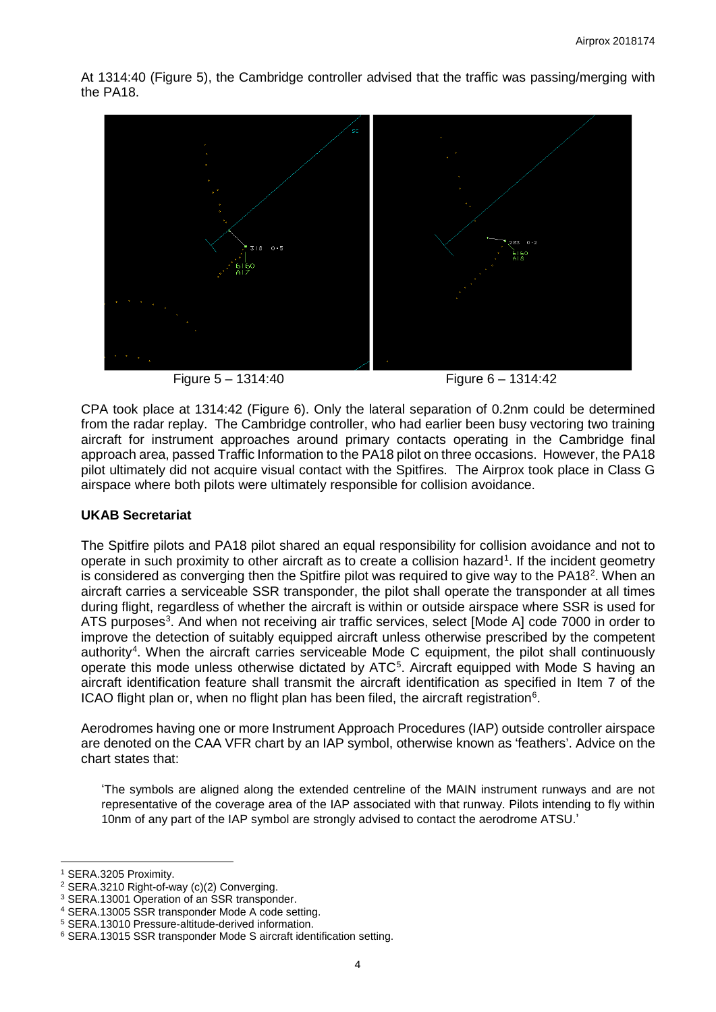At 1314:40 (Figure 5), the Cambridge controller advised that the traffic was passing/merging with the PA18.



Figure 5 – 1314:40 Figure 6 – 1314:42

CPA took place at 1314:42 (Figure 6). Only the lateral separation of 0.2nm could be determined from the radar replay. The Cambridge controller, who had earlier been busy vectoring two training aircraft for instrument approaches around primary contacts operating in the Cambridge final approach area, passed Traffic Information to the PA18 pilot on three occasions. However, the PA18 pilot ultimately did not acquire visual contact with the Spitfires. The Airprox took place in Class G airspace where both pilots were ultimately responsible for collision avoidance.

# **UKAB Secretariat**

The Spitfire pilots and PA18 pilot shared an equal responsibility for collision avoidance and not to operate in such proximity to other aircraft as to create a collision hazard<sup>[1](#page-3-0)</sup>. If the incident geometry is considered as converging then the Spitfire pilot was required to give way to the PA18<sup>[2](#page-3-1)</sup>. When an aircraft carries a serviceable SSR transponder, the pilot shall operate the transponder at all times during flight, regardless of whether the aircraft is within or outside airspace where SSR is used for ATS purposes<sup>[3](#page-3-2)</sup>. And when not receiving air traffic services, select [Mode A] code 7000 in order to improve the detection of suitably equipped aircraft unless otherwise prescribed by the competent authority<sup>[4](#page-3-3)</sup>. When the aircraft carries serviceable Mode C equipment, the pilot shall continuously operate this mode unless otherwise dictated by ATC<sup>[5](#page-3-4)</sup>. Aircraft equipped with Mode S having an aircraft identification feature shall transmit the aircraft identification as specified in Item 7 of the ICAO flight plan or, when no flight plan has been filed, the aircraft registration $6$ .

Aerodromes having one or more Instrument Approach Procedures (IAP) outside controller airspace are denoted on the CAA VFR chart by an IAP symbol, otherwise known as 'feathers'. Advice on the chart states that:

'The symbols are aligned along the extended centreline of the MAIN instrument runways and are not representative of the coverage area of the IAP associated with that runway. Pilots intending to fly within 10nm of any part of the IAP symbol are strongly advised to contact the aerodrome ATSU.'

 $\overline{\phantom{a}}$ 

<sup>1</sup> SERA.3205 Proximity.

<span id="page-3-1"></span><span id="page-3-0"></span><sup>&</sup>lt;sup>2</sup> SERA.3210 Right-of-way (c)(2) Converging.

<span id="page-3-2"></span><sup>&</sup>lt;sup>3</sup> SERA.13001 Operation of an SSR transponder.

<span id="page-3-3"></span><sup>4</sup> SERA.13005 SSR transponder Mode A code setting.

<span id="page-3-4"></span><sup>5</sup> SERA.13010 Pressure-altitude-derived information.

<span id="page-3-5"></span><sup>6</sup> SERA.13015 SSR transponder Mode S aircraft identification setting.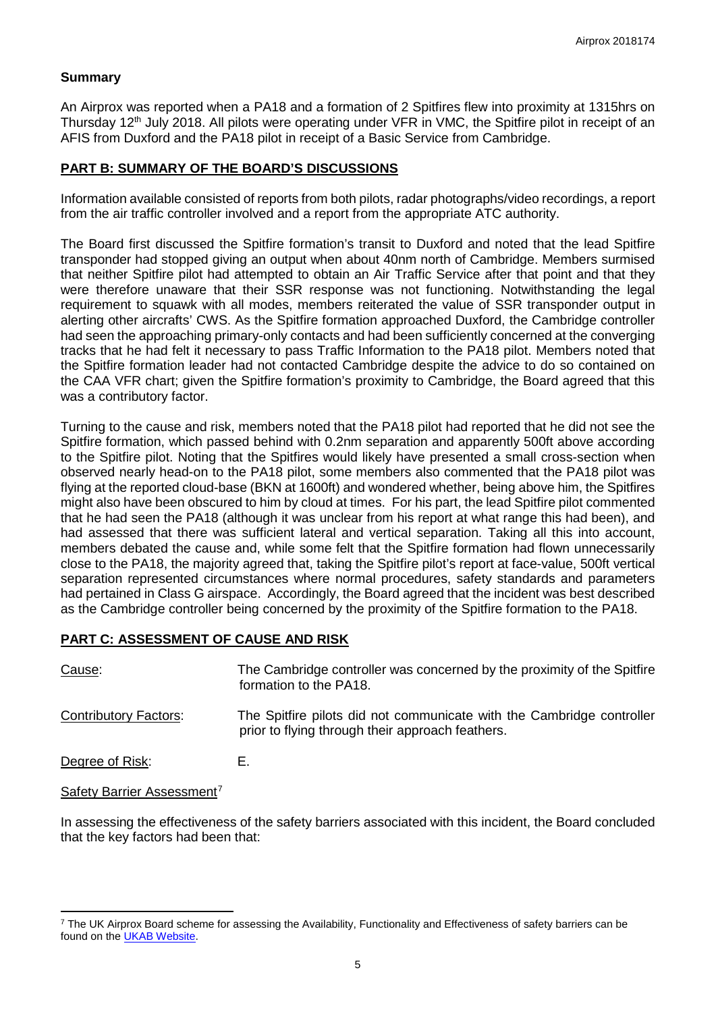#### **Summary**

An Airprox was reported when a PA18 and a formation of 2 Spitfires flew into proximity at 1315hrs on Thursday 12<sup>th</sup> July 2018. All pilots were operating under VFR in VMC, the Spitfire pilot in receipt of an AFIS from Duxford and the PA18 pilot in receipt of a Basic Service from Cambridge.

# **PART B: SUMMARY OF THE BOARD'S DISCUSSIONS**

Information available consisted of reports from both pilots, radar photographs/video recordings, a report from the air traffic controller involved and a report from the appropriate ATC authority.

The Board first discussed the Spitfire formation's transit to Duxford and noted that the lead Spitfire transponder had stopped giving an output when about 40nm north of Cambridge. Members surmised that neither Spitfire pilot had attempted to obtain an Air Traffic Service after that point and that they were therefore unaware that their SSR response was not functioning. Notwithstanding the legal requirement to squawk with all modes, members reiterated the value of SSR transponder output in alerting other aircrafts' CWS. As the Spitfire formation approached Duxford, the Cambridge controller had seen the approaching primary-only contacts and had been sufficiently concerned at the converging tracks that he had felt it necessary to pass Traffic Information to the PA18 pilot. Members noted that the Spitfire formation leader had not contacted Cambridge despite the advice to do so contained on the CAA VFR chart; given the Spitfire formation's proximity to Cambridge, the Board agreed that this was a contributory factor.

Turning to the cause and risk, members noted that the PA18 pilot had reported that he did not see the Spitfire formation, which passed behind with 0.2nm separation and apparently 500ft above according to the Spitfire pilot. Noting that the Spitfires would likely have presented a small cross-section when observed nearly head-on to the PA18 pilot, some members also commented that the PA18 pilot was flying at the reported cloud-base (BKN at 1600ft) and wondered whether, being above him, the Spitfires might also have been obscured to him by cloud at times. For his part, the lead Spitfire pilot commented that he had seen the PA18 (although it was unclear from his report at what range this had been), and had assessed that there was sufficient lateral and vertical separation. Taking all this into account, members debated the cause and, while some felt that the Spitfire formation had flown unnecessarily close to the PA18, the majority agreed that, taking the Spitfire pilot's report at face-value, 500ft vertical separation represented circumstances where normal procedures, safety standards and parameters had pertained in Class G airspace. Accordingly, the Board agreed that the incident was best described as the Cambridge controller being concerned by the proximity of the Spitfire formation to the PA18.

# **PART C: ASSESSMENT OF CAUSE AND RISK**

| Cause:                       | The Cambridge controller was concerned by the proximity of the Spitfire<br>formation to the PA18.                         |
|------------------------------|---------------------------------------------------------------------------------------------------------------------------|
| <b>Contributory Factors:</b> | The Spitfire pilots did not communicate with the Cambridge controller<br>prior to flying through their approach feathers. |
|                              |                                                                                                                           |

Degree of Risk: E.

l

Safety Barrier Assessment<sup>[7](#page-4-0)</sup>

In assessing the effectiveness of the safety barriers associated with this incident, the Board concluded that the key factors had been that:

<span id="page-4-0"></span><sup>&</sup>lt;sup>7</sup> The UK Airprox Board scheme for assessing the Availability, Functionality and Effectiveness of safety barriers can be found on the [UKAB Website.](http://www.airproxboard.org.uk/Learn-more/Airprox-Barrier-Assessment/)